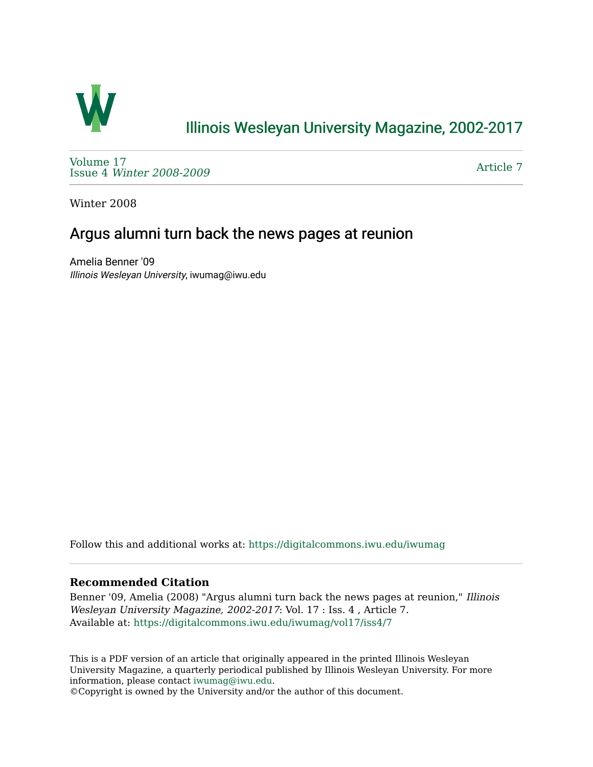

## [Illinois Wesleyan University Magazine, 2002-2017](https://digitalcommons.iwu.edu/iwumag)

[Volume 17](https://digitalcommons.iwu.edu/iwumag/vol17)  Issue 4 [Winter 2008-2009](https://digitalcommons.iwu.edu/iwumag/vol17/iss4)

[Article 7](https://digitalcommons.iwu.edu/iwumag/vol17/iss4/7) 

Winter 2008

## Argus alumni turn back the news pages at reunion

Amelia Benner '09 Illinois Wesleyan University, iwumag@iwu.edu

Follow this and additional works at: [https://digitalcommons.iwu.edu/iwumag](https://digitalcommons.iwu.edu/iwumag?utm_source=digitalcommons.iwu.edu%2Fiwumag%2Fvol17%2Fiss4%2F7&utm_medium=PDF&utm_campaign=PDFCoverPages) 

## **Recommended Citation**

Benner '09, Amelia (2008) "Argus alumni turn back the news pages at reunion," Illinois Wesleyan University Magazine, 2002-2017: Vol. 17 : Iss. 4 , Article 7. Available at: [https://digitalcommons.iwu.edu/iwumag/vol17/iss4/7](https://digitalcommons.iwu.edu/iwumag/vol17/iss4/7?utm_source=digitalcommons.iwu.edu%2Fiwumag%2Fvol17%2Fiss4%2F7&utm_medium=PDF&utm_campaign=PDFCoverPages)

This is a PDF version of an article that originally appeared in the printed Illinois Wesleyan University Magazine, a quarterly periodical published by Illinois Wesleyan University. For more information, please contact [iwumag@iwu.edu](mailto:iwumag@iwu.edu).

©Copyright is owned by the University and/or the author of this document.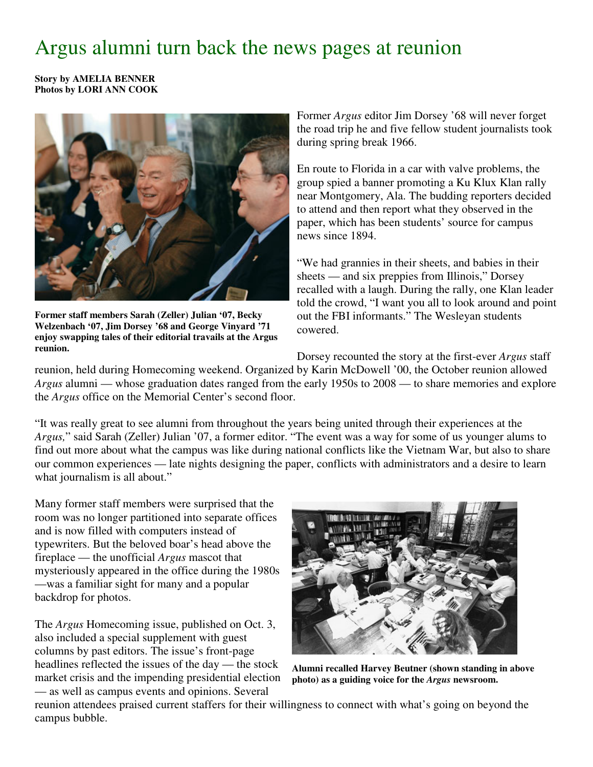## Argus alumni turn back the news pages at reunion

**Story by AMELIA BENNER Photos by LORI ANN COOK**



**Former staff members Sarah (Zeller) Julian '07, Becky Welzenbach '07, Jim Dorsey '68 and George Vinyard '71 enjoy swapping tales of their editorial travails at the Argus reunion.**

Former *Argus* editor Jim Dorsey '68 will never forget the road trip he and five fellow student journalists took during spring break 1966.

En route to Florida in a car with valve problems, the group spied a banner promoting a Ku Klux Klan rally near Montgomery, Ala. The budding reporters decided to attend and then report what they observed in the paper, which has been students' source for campus news since 1894.

"We had grannies in their sheets, and babies in their sheets — and six preppies from Illinois," Dorsey recalled with a laugh. During the rally, one Klan leader told the crowd, "I want you all to look around and point out the FBI informants." The Wesleyan students cowered.

Dorsey recounted the story at the first-ever *Argus* staff

reunion, held during Homecoming weekend. Organized by Karin McDowell '00, the October reunion allowed *Argus* alumni — whose graduation dates ranged from the early 1950s to 2008 — to share memories and explore the *Argus* office on the Memorial Center's second floor.

"It was really great to see alumni from throughout the years being united through their experiences at the *Argus,*" said Sarah (Zeller) Julian '07, a former editor. "The event was a way for some of us younger alums to find out more about what the campus was like during national conflicts like the Vietnam War, but also to share our common experiences — late nights designing the paper, conflicts with administrators and a desire to learn what journalism is all about."

Many former staff members were surprised that the room was no longer partitioned into separate offices and is now filled with computers instead of typewriters. But the beloved boar's head above the fireplace — the unofficial *Argus* mascot that mysteriously appeared in the office during the 1980s —was a familiar sight for many and a popular backdrop for photos.

The *Argus* Homecoming issue, published on Oct. 3, also included a special supplement with guest columns by past editors. The issue's front-page headlines reflected the issues of the day — the stock market crisis and the impending presidential election — as well as campus events and opinions. Several



**Alumni recalled Harvey Beutner (shown standing in above photo) as a guiding voice for the** *Argus* **newsroom.**

reunion attendees praised current staffers for their willingness to connect with what's going on beyond the campus bubble.